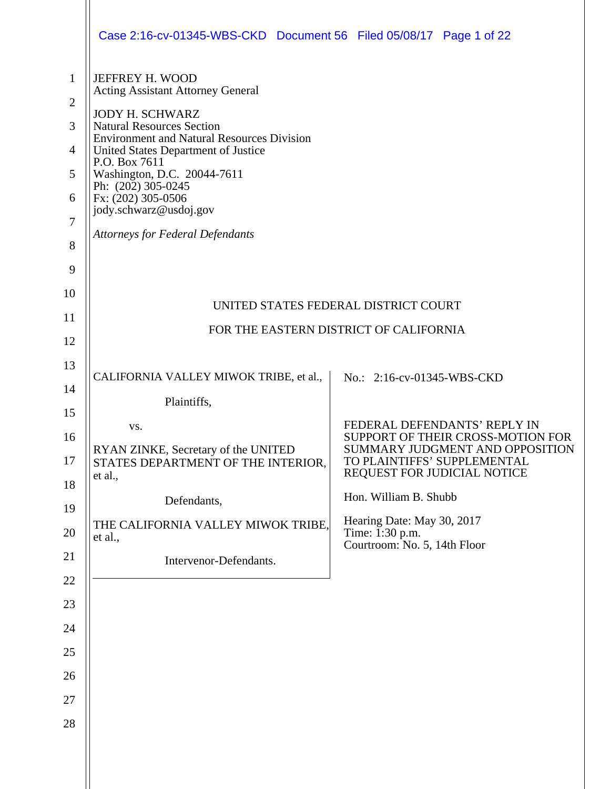|                                                                                      | Case 2:16-cv-01345-WBS-CKD Document 56 Filed 05/08/17 Page 1 of 22                                                                                                                                                                                                                                                                                                                     |                                                                                               |  |
|--------------------------------------------------------------------------------------|----------------------------------------------------------------------------------------------------------------------------------------------------------------------------------------------------------------------------------------------------------------------------------------------------------------------------------------------------------------------------------------|-----------------------------------------------------------------------------------------------|--|
| $\mathbf{1}$<br>$\overline{2}$<br>3<br>$\overline{4}$<br>5<br>6<br>7<br>8<br>9<br>10 | JEFFREY H. WOOD<br><b>Acting Assistant Attorney General</b><br><b>JODY H. SCHWARZ</b><br><b>Natural Resources Section</b><br><b>Environment and Natural Resources Division</b><br>United States Department of Justice<br>P.O. Box 7611<br>Washington, D.C. 20044-7611<br>Ph: (202) 305-0245<br>Fx: (202) 305-0506<br>jody.schwarz@usdoj.gov<br><b>Attorneys for Federal Defendants</b> |                                                                                               |  |
| 11                                                                                   | UNITED STATES FEDERAL DISTRICT COURT                                                                                                                                                                                                                                                                                                                                                   |                                                                                               |  |
| 12                                                                                   | FOR THE EASTERN DISTRICT OF CALIFORNIA                                                                                                                                                                                                                                                                                                                                                 |                                                                                               |  |
| 13                                                                                   |                                                                                                                                                                                                                                                                                                                                                                                        |                                                                                               |  |
| 14                                                                                   | CALIFORNIA VALLEY MIWOK TRIBE, et al.,                                                                                                                                                                                                                                                                                                                                                 | No.: 2:16-cv-01345-WBS-CKD                                                                    |  |
| 15                                                                                   | Plaintiffs,                                                                                                                                                                                                                                                                                                                                                                            |                                                                                               |  |
| 16                                                                                   | VS.                                                                                                                                                                                                                                                                                                                                                                                    | FEDERAL DEFENDANTS' REPLY IN<br>SUPPORT OF THEIR CROSS-MOTION FOR                             |  |
| 17                                                                                   | RYAN ZINKE, Secretary of the UNITED<br>STATES DEPARTMENT OF THE INTERIOR,<br>et al.,                                                                                                                                                                                                                                                                                                   | SUMMARY JUDGMENT AND OPPOSITION<br>TO PLAINTIFFS' SUPPLEMENTAL<br>REQUEST FOR JUDICIAL NOTICE |  |
| 18                                                                                   | Defendants,                                                                                                                                                                                                                                                                                                                                                                            | Hon. William B. Shubb                                                                         |  |
| 19<br>20                                                                             | THE CALIFORNIA VALLEY MIWOK TRIBE,<br>et al.,                                                                                                                                                                                                                                                                                                                                          | Hearing Date: May 30, 2017<br>Time: 1:30 p.m.<br>Courtroom: No. 5, 14th Floor                 |  |
| 21                                                                                   | Intervenor-Defendants.                                                                                                                                                                                                                                                                                                                                                                 |                                                                                               |  |
| 22                                                                                   |                                                                                                                                                                                                                                                                                                                                                                                        |                                                                                               |  |
| 23                                                                                   |                                                                                                                                                                                                                                                                                                                                                                                        |                                                                                               |  |
| 24                                                                                   |                                                                                                                                                                                                                                                                                                                                                                                        |                                                                                               |  |
| 25                                                                                   |                                                                                                                                                                                                                                                                                                                                                                                        |                                                                                               |  |
| 26                                                                                   |                                                                                                                                                                                                                                                                                                                                                                                        |                                                                                               |  |
| 27                                                                                   |                                                                                                                                                                                                                                                                                                                                                                                        |                                                                                               |  |
| 28                                                                                   |                                                                                                                                                                                                                                                                                                                                                                                        |                                                                                               |  |
|                                                                                      |                                                                                                                                                                                                                                                                                                                                                                                        |                                                                                               |  |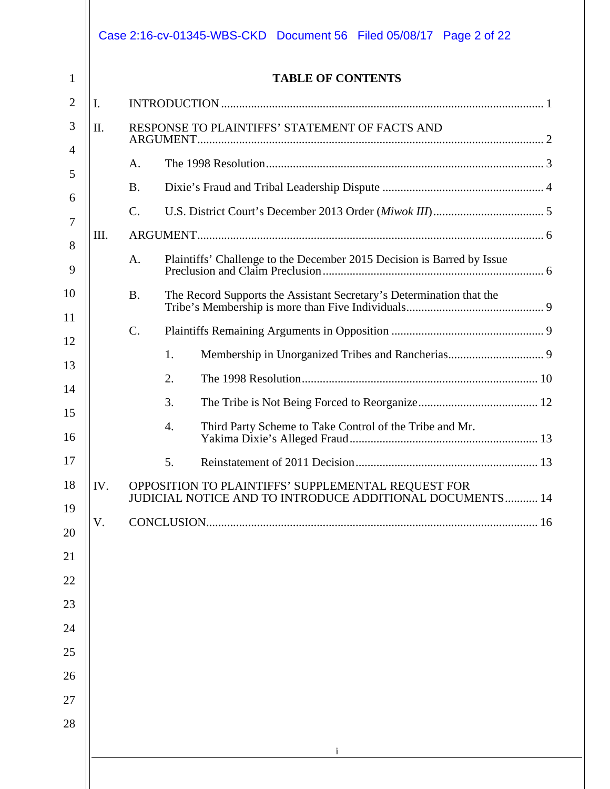| <b>TABLE OF CONTENTS</b> |                                                                                                                       |  |  |  |
|--------------------------|-----------------------------------------------------------------------------------------------------------------------|--|--|--|
| I.                       |                                                                                                                       |  |  |  |
| II.                      | RESPONSE TO PLAINTIFFS' STATEMENT OF FACTS AND                                                                        |  |  |  |
|                          | A.                                                                                                                    |  |  |  |
|                          | <b>B.</b>                                                                                                             |  |  |  |
|                          | $\mathcal{C}$ .                                                                                                       |  |  |  |
| III.                     |                                                                                                                       |  |  |  |
|                          | Plaintiffs' Challenge to the December 2015 Decision is Barred by Issue<br>A.                                          |  |  |  |
|                          | <b>B.</b><br>The Record Supports the Assistant Secretary's Determination that the                                     |  |  |  |
|                          | $\mathcal{C}$ .                                                                                                       |  |  |  |
|                          | 1.                                                                                                                    |  |  |  |
|                          | 2.                                                                                                                    |  |  |  |
|                          | 3.                                                                                                                    |  |  |  |
|                          | Third Party Scheme to Take Control of the Tribe and Mr.<br>4.                                                         |  |  |  |
|                          | 5.                                                                                                                    |  |  |  |
| IV.                      | OPPOSITION TO PLAINTIFFS' SUPPLEMENTAL REQUEST FOR<br><b>JUDICIAL NOTICE AND TO INTRODUCE ADDITIONAL DOCUMENTS 14</b> |  |  |  |
| V.                       |                                                                                                                       |  |  |  |
|                          |                                                                                                                       |  |  |  |
|                          |                                                                                                                       |  |  |  |
|                          |                                                                                                                       |  |  |  |
|                          |                                                                                                                       |  |  |  |
|                          |                                                                                                                       |  |  |  |
|                          |                                                                                                                       |  |  |  |
|                          |                                                                                                                       |  |  |  |
|                          |                                                                                                                       |  |  |  |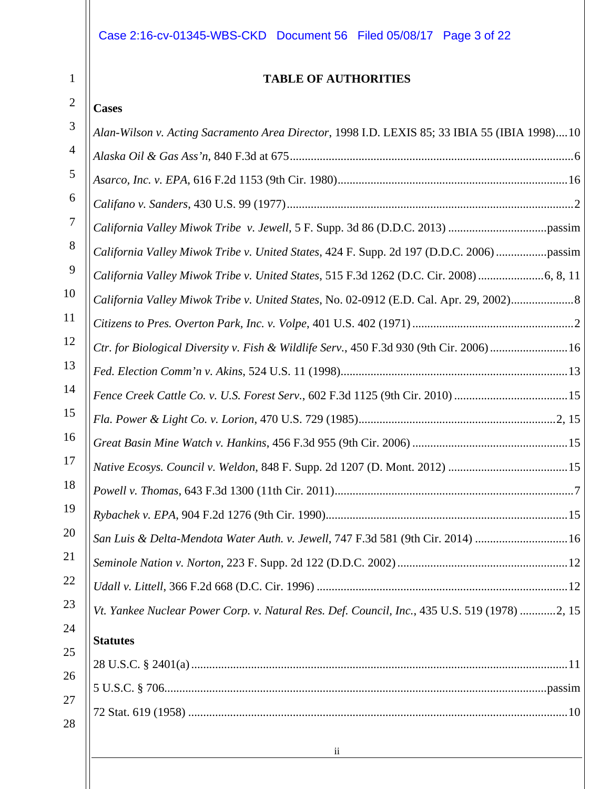# Case 2:16-cv-01345-WBS-CKD Document 56 Filed 05/08/17 Page 3 of 22

1

# **TABLE OF AUTHORITIES**

| <b>Cases</b>                                                                                                                              |
|-------------------------------------------------------------------------------------------------------------------------------------------|
| Alan-Wilson v. Acting Sacramento Area Director, 1998 I.D. LEXIS 85; 33 IBIA 55 (IBIA 1998)10                                              |
|                                                                                                                                           |
|                                                                                                                                           |
|                                                                                                                                           |
|                                                                                                                                           |
| California Valley Miwok Tribe v. United States, 424 F. Supp. 2d 197 (D.D.C. 2006) passim                                                  |
|                                                                                                                                           |
| California Valley Miwok Tribe v. United States, No. 02-0912 (E.D. Cal. Apr. 29, 2002)8                                                    |
|                                                                                                                                           |
| Ctr. for Biological Diversity v. Fish & Wildlife Serv., 450 F.3d 930 (9th Cir. 2006) 16                                                   |
|                                                                                                                                           |
| Fence Creek Cattle Co. v. U.S. Forest Serv., 602 F.3d 1125 (9th Cir. 2010) 15                                                             |
|                                                                                                                                           |
|                                                                                                                                           |
|                                                                                                                                           |
|                                                                                                                                           |
|                                                                                                                                           |
| San Luis & Delta-Mendota Water Auth. v. Jewell, 747 F.3d 581 (9th Cir. 2014) 16                                                           |
|                                                                                                                                           |
|                                                                                                                                           |
| Vt. Yankee Nuclear Power Corp. v. Natural Res. Def. Council, Inc., 435 U.S. 519 (1978) 2, 15                                              |
| <b>Statutes</b>                                                                                                                           |
|                                                                                                                                           |
|                                                                                                                                           |
|                                                                                                                                           |
| $\overline{11}$<br><u> 1989 - Johann Barn, mars ann an t-Amhain Aonaich an t-Aonaich an t-Aonaich an t-Aonaich an t-Aonaich ann an t-</u> |
|                                                                                                                                           |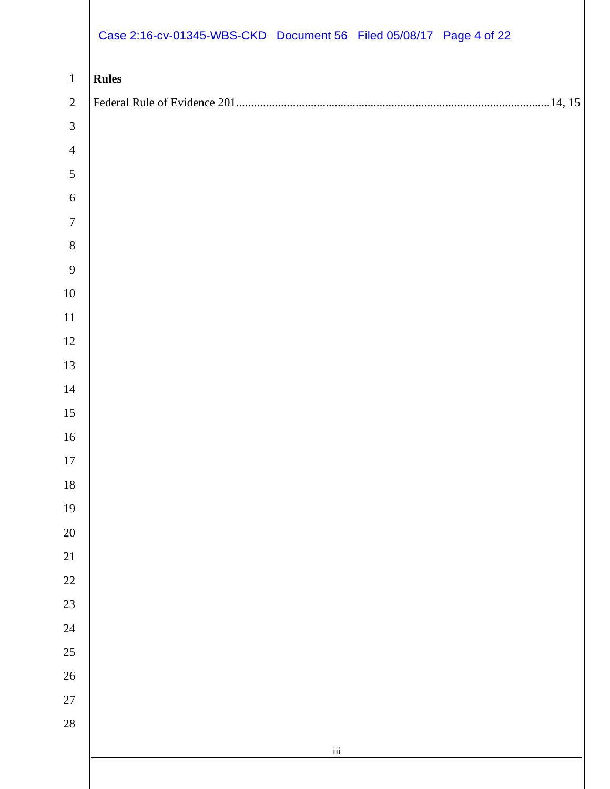|                  | Case 2:16-cv-01345-WBS-CKD Document 56 Filed 05/08/17 Page 4 of 22 |
|------------------|--------------------------------------------------------------------|
| $\mathbf{1}$     | <b>Rules</b>                                                       |
| $\sqrt{2}$       |                                                                    |
| $\mathfrak{Z}$   |                                                                    |
| $\overline{4}$   |                                                                    |
| $\sqrt{5}$       |                                                                    |
| $\sqrt{6}$       |                                                                    |
| $\boldsymbol{7}$ |                                                                    |
| $8\,$            |                                                                    |
| $\overline{9}$   |                                                                    |
| $10\,$           |                                                                    |
| $11\,$           |                                                                    |
| $12\,$           |                                                                    |
| 13               |                                                                    |
| 14               |                                                                    |
| 15               |                                                                    |
| 16               |                                                                    |
| $17\,$           |                                                                    |
| $18\,$           |                                                                    |
| 19               |                                                                    |
| $20\,$           |                                                                    |
| 21               |                                                                    |
| 22               |                                                                    |
| 23               |                                                                    |
| 24               |                                                                    |
| 25               |                                                                    |
| $26\text{ }$     |                                                                    |
| 27               |                                                                    |
| 28               |                                                                    |
|                  | $\,$ iii                                                           |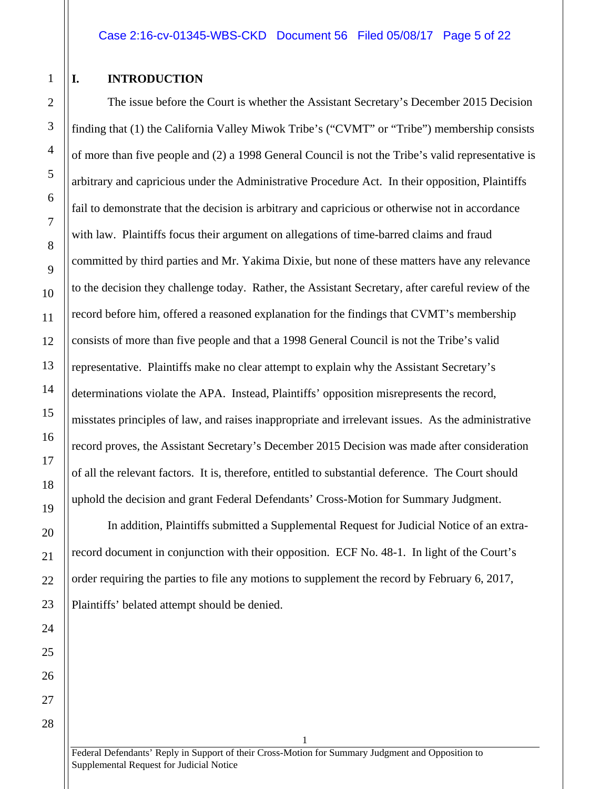## <span id="page-4-0"></span>**I. INTRODUCTION**

The issue before the Court is whether the Assistant Secretary's December 2015 Decision finding that (1) the California Valley Miwok Tribe's ("CVMT" or "Tribe") membership consists of more than five people and (2) a 1998 General Council is not the Tribe's valid representative is arbitrary and capricious under the Administrative Procedure Act. In their opposition, Plaintiffs fail to demonstrate that the decision is arbitrary and capricious or otherwise not in accordance with law. Plaintiffs focus their argument on allegations of time-barred claims and fraud committed by third parties and Mr. Yakima Dixie, but none of these matters have any relevance to the decision they challenge today. Rather, the Assistant Secretary, after careful review of the record before him, offered a reasoned explanation for the findings that CVMT's membership consists of more than five people and that a 1998 General Council is not the Tribe's valid representative. Plaintiffs make no clear attempt to explain why the Assistant Secretary's determinations violate the APA. Instead, Plaintiffs' opposition misrepresents the record, misstates principles of law, and raises inappropriate and irrelevant issues. As the administrative record proves, the Assistant Secretary's December 2015 Decision was made after consideration of all the relevant factors. It is, therefore, entitled to substantial deference. The Court should uphold the decision and grant Federal Defendants' Cross-Motion for Summary Judgment.

In addition, Plaintiffs submitted a Supplemental Request for Judicial Notice of an extrarecord document in conjunction with their opposition. ECF No. 48-1. In light of the Court's order requiring the parties to file any motions to supplement the record by February 6, 2017, Plaintiffs' belated attempt should be denied.

Federal Defendants' Reply in Support of their Cross-Motion for Summary Judgment and Opposition to Supplemental Request for Judicial Notice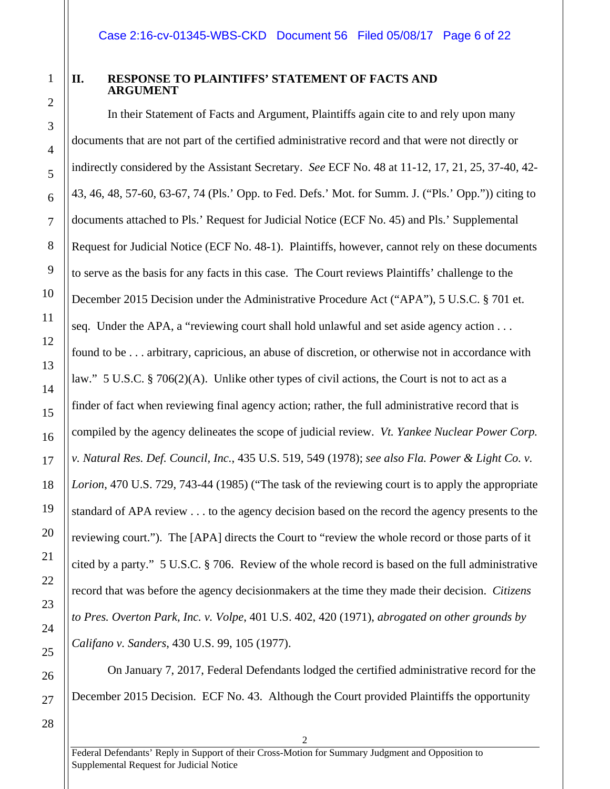# 1 2

3

4

5

6

7

8

9

10

11

12

13

14

15

16

17

18

19

20

21

22

23

24

25

26

27

# <span id="page-5-0"></span>**II. RESPONSE TO PLAINTIFFS' STATEMENT OF FACTS AND ARGUMENT**

In their Statement of Facts and Argument, Plaintiffs again cite to and rely upon many documents that are not part of the certified administrative record and that were not directly or indirectly considered by the Assistant Secretary. *See* ECF No. 48 at 11-12, 17, 21, 25, 37-40, 42- 43, 46, 48, 57-60, 63-67, 74 (Pls.' Opp. to Fed. Defs.' Mot. for Summ. J. ("Pls.' Opp.")) citing to documents attached to Pls.' Request for Judicial Notice (ECF No. 45) and Pls.' Supplemental Request for Judicial Notice (ECF No. 48-1). Plaintiffs, however, cannot rely on these documents to serve as the basis for any facts in this case. The Court reviews Plaintiffs' challenge to the December 2015 Decision under the Administrative Procedure Act ("APA"), 5 U.S.C. § 701 et. seq. Under the APA, a "reviewing court shall hold unlawful and set aside agency action . . . found to be . . . arbitrary, capricious, an abuse of discretion, or otherwise not in accordance with law." 5 U.S.C. § 706(2)(A). Unlike other types of civil actions, the Court is not to act as a finder of fact when reviewing final agency action; rather, the full administrative record that is compiled by the agency delineates the scope of judicial review. *Vt. Yankee Nuclear Power Corp. v. Natural Res. Def. Council, Inc.*, 435 U.S. 519, 549 (1978); *see also Fla. Power & Light Co. v. Lorion*, 470 U.S. 729, 743-44 (1985) ("The task of the reviewing court is to apply the appropriate standard of APA review . . . to the agency decision based on the record the agency presents to the reviewing court."). The [APA] directs the Court to "review the whole record or those parts of it cited by a party." 5 U.S.C. § 706. Review of the whole record is based on the full administrative record that was before the agency decisionmakers at the time they made their decision. *Citizens to Pres. Overton Park, Inc. v. Volpe*, 401 U.S. 402, 420 (1971), *abrogated on other grounds by Califano v. Sanders*, 430 U.S. 99, 105 (1977).

On January 7, 2017, Federal Defendants lodged the certified administrative record for the December 2015 Decision. ECF No. 43. Although the Court provided Plaintiffs the opportunity

28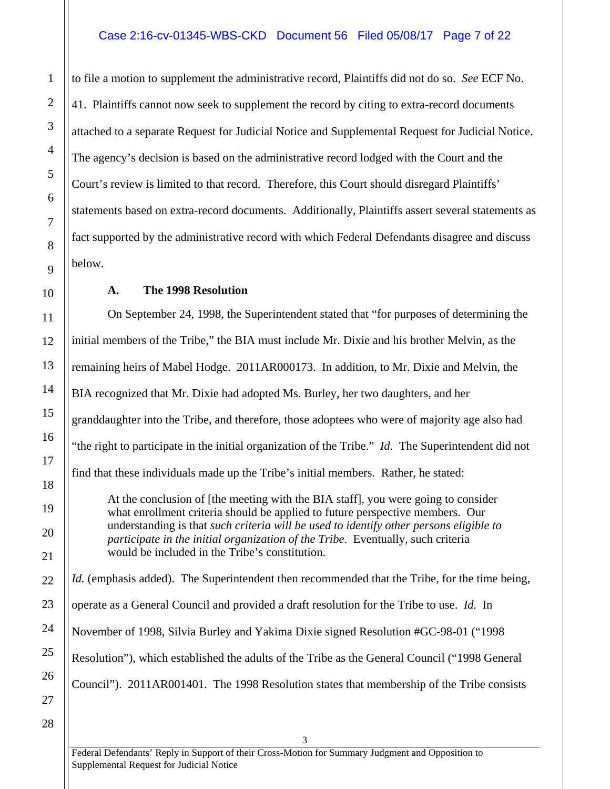# Case 2:16-cv-01345-WBS-CKD Document 56 Filed 05/08/17 Page 7 of 22

to file a motion to supplement the administrative record, Plaintiffs did not do so. *See* ECF No. 41. Plaintiffs cannot now seek to supplement the record by citing to extra-record documents attached to a separate Request for Judicial Notice and Supplemental Request for Judicial Notice. The agency's decision is based on the administrative record lodged with the Court and the Court's review is limited to that record. Therefore, this Court should disregard Plaintiffs' statements based on extra-record documents. Additionally, Plaintiffs assert several statements as fact supported by the administrative record with which Federal Defendants disagree and discuss below.

## **A. The 1998 Resolution**

<span id="page-6-0"></span>On September 24, 1998, the Superintendent stated that "for purposes of determining the initial members of the Tribe," the BIA must include Mr. Dixie and his brother Melvin, as the remaining heirs of Mabel Hodge. 2011AR000173. In addition, to Mr. Dixie and Melvin, the BIA recognized that Mr. Dixie had adopted Ms. Burley, her two daughters, and her granddaughter into the Tribe, and therefore, those adoptees who were of majority age also had "the right to participate in the initial organization of the Tribe." *Id.* The Superintendent did not find that these individuals made up the Tribe's initial members. Rather, he stated: At the conclusion of [the meeting with the BIA staff], you were going to consider what enrollment criteria should be applied to future perspective members. Our understanding is that *such criteria will be used to identify other persons eligible to participate in the initial organization of the Tribe*. Eventually, such criteria would be included in the Tribe's constitution. *Id.* (emphasis added). The Superintendent then recommended that the Tribe, for the time being, operate as a General Council and provided a draft resolution for the Tribe to use. *Id.* In November of 1998, Silvia Burley and Yakima Dixie signed Resolution #GC-98-01 ("1998

Resolution"), which established the adults of the Tribe as the General Council ("1998 General

Council"). 2011AR001401. The 1998 Resolution states that membership of the Tribe consists

1

2

3

4

5

6

7

8

9

10

11

12

13

14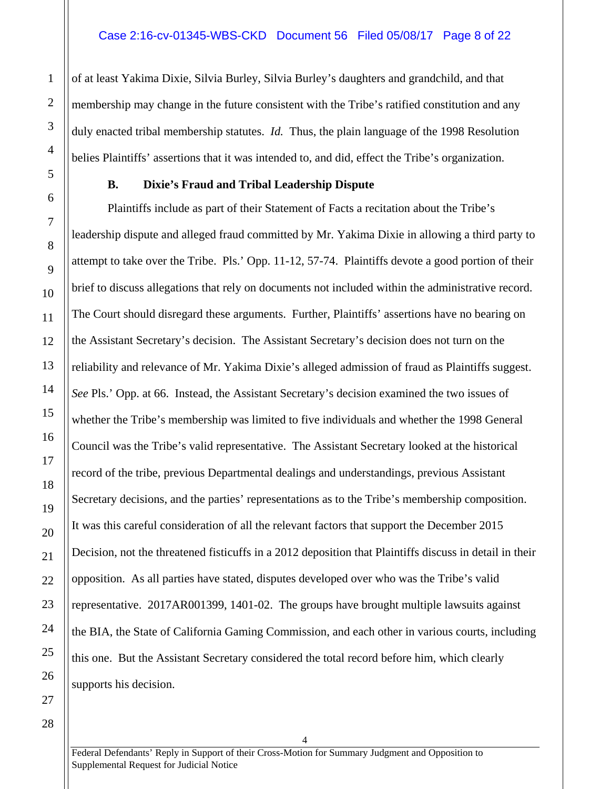of at least Yakima Dixie, Silvia Burley, Silvia Burley's daughters and grandchild, and that membership may change in the future consistent with the Tribe's ratified constitution and any duly enacted tribal membership statutes. *Id.* Thus, the plain language of the 1998 Resolution belies Plaintiffs' assertions that it was intended to, and did, effect the Tribe's organization.

#### **B. Dixie's Fraud and Tribal Leadership Dispute**

<span id="page-7-0"></span>Plaintiffs include as part of their Statement of Facts a recitation about the Tribe's leadership dispute and alleged fraud committed by Mr. Yakima Dixie in allowing a third party to attempt to take over the Tribe. Pls.' Opp. 11-12, 57-74. Plaintiffs devote a good portion of their brief to discuss allegations that rely on documents not included within the administrative record. The Court should disregard these arguments. Further, Plaintiffs' assertions have no bearing on the Assistant Secretary's decision. The Assistant Secretary's decision does not turn on the reliability and relevance of Mr. Yakima Dixie's alleged admission of fraud as Plaintiffs suggest. *See* Pls.' Opp. at 66. Instead, the Assistant Secretary's decision examined the two issues of whether the Tribe's membership was limited to five individuals and whether the 1998 General Council was the Tribe's valid representative. The Assistant Secretary looked at the historical record of the tribe, previous Departmental dealings and understandings, previous Assistant Secretary decisions, and the parties' representations as to the Tribe's membership composition. It was this careful consideration of all the relevant factors that support the December 2015 Decision, not the threatened fisticuffs in a 2012 deposition that Plaintiffs discuss in detail in their opposition. As all parties have stated, disputes developed over who was the Tribe's valid representative. 2017AR001399, 1401-02. The groups have brought multiple lawsuits against the BIA, the State of California Gaming Commission, and each other in various courts, including this one. But the Assistant Secretary considered the total record before him, which clearly supports his decision.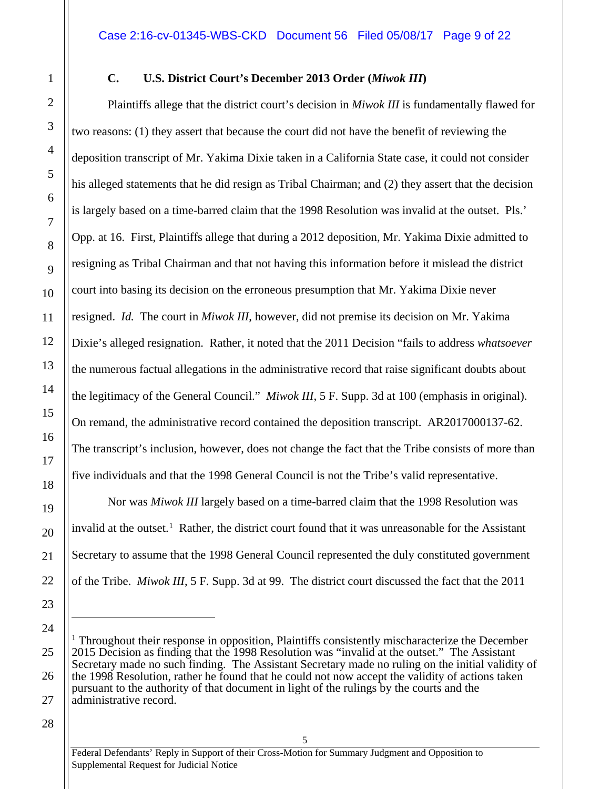#### <span id="page-8-0"></span>**C. U.S. District Court's December 2013 Order (***Miwok III***)**

Plaintiffs allege that the district court's decision in *Miwok III* is fundamentally flawed for two reasons: (1) they assert that because the court did not have the benefit of reviewing the deposition transcript of Mr. Yakima Dixie taken in a California State case, it could not consider his alleged statements that he did resign as Tribal Chairman; and (2) they assert that the decision is largely based on a time-barred claim that the 1998 Resolution was invalid at the outset. Pls.' Opp. at 16. First, Plaintiffs allege that during a 2012 deposition, Mr. Yakima Dixie admitted to resigning as Tribal Chairman and that not having this information before it mislead the district court into basing its decision on the erroneous presumption that Mr. Yakima Dixie never resigned. *Id.* The court in *Miwok III*, however, did not premise its decision on Mr. Yakima Dixie's alleged resignation. Rather, it noted that the 2011 Decision "fails to address *whatsoever* the numerous factual allegations in the administrative record that raise significant doubts about the legitimacy of the General Council." *Miwok III*, 5 F. Supp. 3d at 100 (emphasis in original). On remand, the administrative record contained the deposition transcript. AR2017000137-62. The transcript's inclusion, however, does not change the fact that the Tribe consists of more than five individuals and that the 1998 General Council is not the Tribe's valid representative.

Nor was *Miwok III* largely based on a time-barred claim that the 1998 Resolution was invalid at the outset.<sup>1</sup> Rather, the district court found that it was unreasonable for the Assistant Secretary to assume that the 1998 General Council represented the duly constituted government of the Tribe. *Miwok III*, 5 F. Supp. 3d at 99. The district court discussed the fact that the 2011

28

 $\overline{a}$ 

<span id="page-8-1"></span><sup>&</sup>lt;sup>1</sup> Throughout their response in opposition, Plaintiffs consistently mischaracterize the December 2015 Decision as finding that the 1998 Resolution was "invalid at the outset." The Assistant Secretary made no such finding. The Assistant Secretary made no ruling on the initial validity of the 1998 Resolution, rather he found that he could not now accept the validity of actions taken pursuant to the authority of that document in light of the rulings by the courts and the administrative record.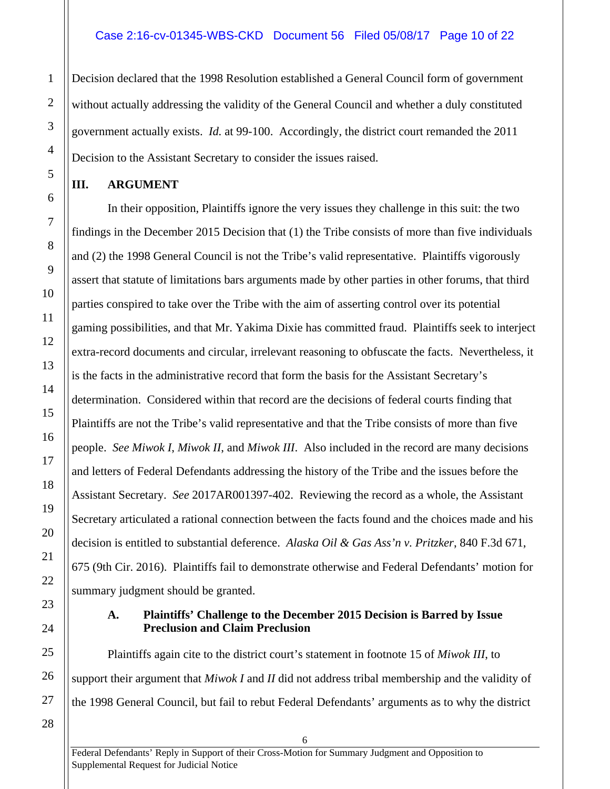Decision declared that the 1998 Resolution established a General Council form of government without actually addressing the validity of the General Council and whether a duly constituted government actually exists. *Id.* at 99-100. Accordingly, the district court remanded the 2011 Decision to the Assistant Secretary to consider the issues raised.

# <span id="page-9-0"></span>**III. ARGUMENT**

1

2

3

4

5

6

7

8

9

10

11

12

13

14

15

16

17

18

19

20

21

22

<span id="page-9-1"></span>23

24

25

26

27

In their opposition, Plaintiffs ignore the very issues they challenge in this suit: the two findings in the December 2015 Decision that (1) the Tribe consists of more than five individuals and (2) the 1998 General Council is not the Tribe's valid representative. Plaintiffs vigorously assert that statute of limitations bars arguments made by other parties in other forums, that third parties conspired to take over the Tribe with the aim of asserting control over its potential gaming possibilities, and that Mr. Yakima Dixie has committed fraud. Plaintiffs seek to interject extra-record documents and circular, irrelevant reasoning to obfuscate the facts. Nevertheless, it is the facts in the administrative record that form the basis for the Assistant Secretary's determination. Considered within that record are the decisions of federal courts finding that Plaintiffs are not the Tribe's valid representative and that the Tribe consists of more than five people. *See Miwok I*, *Miwok II*, and *Miwok III*. Also included in the record are many decisions and letters of Federal Defendants addressing the history of the Tribe and the issues before the Assistant Secretary. *See* 2017AR001397-402. Reviewing the record as a whole, the Assistant Secretary articulated a rational connection between the facts found and the choices made and his decision is entitled to substantial deference. *Alaska Oil & Gas Ass'n v. Pritzker*, 840 F.3d 671, 675 (9th Cir. 2016). Plaintiffs fail to demonstrate otherwise and Federal Defendants' motion for summary judgment should be granted.

## **A. Plaintiffs' Challenge to the December 2015 Decision is Barred by Issue Preclusion and Claim Preclusion**

Plaintiffs again cite to the district court's statement in footnote 15 of *Miwok III*, to support their argument that *Miwok I* and *II* did not address tribal membership and the validity of the 1998 General Council, but fail to rebut Federal Defendants' arguments as to why the district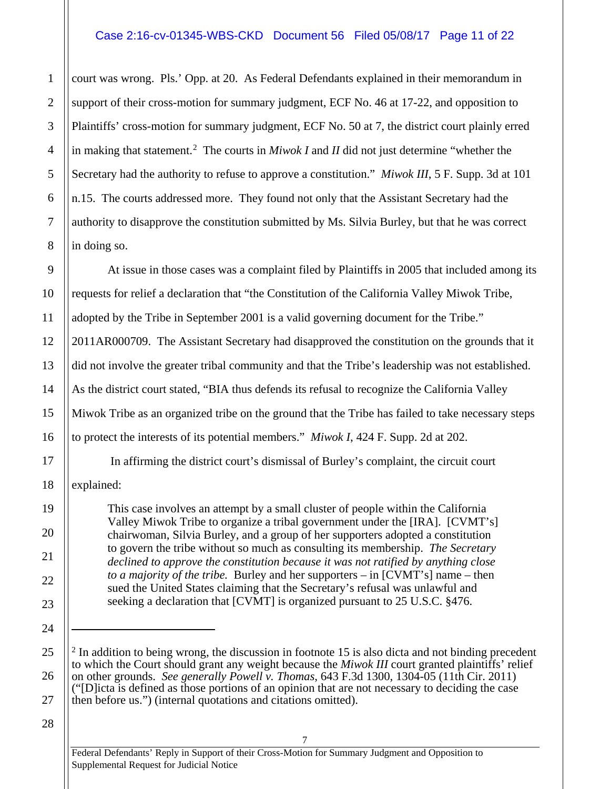# Case 2:16-cv-01345-WBS-CKD Document 56 Filed 05/08/17 Page 11 of 22

court was wrong. Pls.' Opp. at 20. As Federal Defendants explained in their memorandum in support of their cross-motion for summary judgment, ECF No. 46 at 17-22, and opposition to Plaintiffs' cross-motion for summary judgment, ECF No. 50 at 7, the district court plainly erred in making that statement.[2](#page-10-0) The courts in *Miwok I* and *II* did not just determine "whether the Secretary had the authority to refuse to approve a constitution." *Miwok III*, 5 F. Supp. 3d at 101 n.15. The courts addressed more. They found not only that the Assistant Secretary had the authority to disapprove the constitution submitted by Ms. Silvia Burley, but that he was correct in doing so.

At issue in those cases was a complaint filed by Plaintiffs in 2005 that included among its requests for relief a declaration that "the Constitution of the California Valley Miwok Tribe, adopted by the Tribe in September 2001 is a valid governing document for the Tribe." 2011AR000709. The Assistant Secretary had disapproved the constitution on the grounds that it did not involve the greater tribal community and that the Tribe's leadership was not established. As the district court stated, "BIA thus defends its refusal to recognize the California Valley Miwok Tribe as an organized tribe on the ground that the Tribe has failed to take necessary steps to protect the interests of its potential members." *Miwok I*, 424 F. Supp. 2d at 202.

In affirming the district court's dismissal of Burley's complaint, the circuit court

explained:

1

2

3

4

5

6

7

8

9

10

11

12

13

14

15

16

17

18

19

20

21

22

23

24

 $\overline{a}$ 

<span id="page-10-0"></span>25

26

This case involves an attempt by a small cluster of people within the California Valley Miwok Tribe to organize a tribal government under the [IRA]. [CVMT's] chairwoman, Silvia Burley, and a group of her supporters adopted a constitution to govern the tribe without so much as consulting its membership. *The Secretary declined to approve the constitution because it was not ratified by anything close to a majority of the tribe.* Burley and her supporters – in [CVMT's] name – then sued the United States claiming that the Secretary's refusal was unlawful and seeking a declaration that [CVMT] is organized pursuant to 25 U.S.C. §476.

7

28

27

 $2$  In addition to being wrong, the discussion in footnote 15 is also dicta and not binding precedent to which the Court should grant any weight because the *Miwok III* court granted plaintiffs' relief on other grounds. *See generally Powell v. Thomas*, 643 F.3d 1300, 1304-05 (11th Cir. 2011) ("[D]icta is defined as those portions of an opinion that are not necessary to deciding the case then before us.") (internal quotations and citations omitted).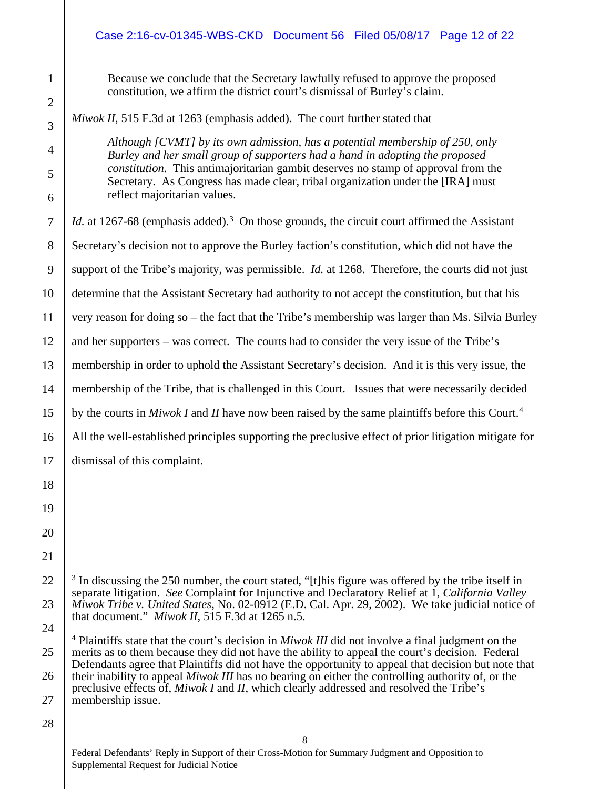# Case 2:16-cv-01345-WBS-CKD Document 56 Filed 05/08/17 Page 12 of 22

Because we conclude that the Secretary lawfully refused to approve the proposed constitution, we affirm the district court's dismissal of Burley's claim.

*Miwok II*, 515 F.3d at 1263 (emphasis added). The court further stated that

*Although [CVMT] by its own admission, has a potential membership of 250, only Burley and her small group of supporters had a hand in adopting the proposed constitution.* This antimajoritarian gambit deserves no stamp of approval from the Secretary. As Congress has made clear, tribal organization under the [IRA] must reflect majoritarian values.

Id. at 1267-68 (emphasis added).<sup>[3](#page-11-0)</sup> On those grounds, the circuit court affirmed the Assistant Secretary's decision not to approve the Burley faction's constitution, which did not have the support of the Tribe's majority, was permissible. *Id.* at 1268. Therefore, the courts did not just determine that the Assistant Secretary had authority to not accept the constitution, but that his very reason for doing so – the fact that the Tribe's membership was larger than Ms. Silvia Burley and her supporters – was correct. The courts had to consider the very issue of the Tribe's membership in order to uphold the Assistant Secretary's decision. And it is this very issue, the membership of the Tribe, that is challenged in this Court. Issues that were necessarily decided by the courts in *Miwok I* and *II* have now been raised by the same plaintiffs before this Court.[4](#page-11-1) All the well-established principles supporting the preclusive effect of prior litigation mitigate for dismissal of this complaint.

27

1

2

3

4

5

6

7

8

9

10

11

12

13

14

15

16

17

18

19

20

21

 $\overline{a}$ 

<span id="page-11-0"></span>22

23

<span id="page-11-1"></span>24

25

 $3$  In discussing the 250 number, the court stated, "[t]his figure was offered by the tribe itself in separate litigation. *See* Complaint for Injunctive and Declaratory Relief at 1, *California Valley Miwok Tribe v. United States*, No. 02-0912 (E.D. Cal. Apr. 29, 2002). We take judicial notice of that document." *Miwok II*, 515 F.3d at 1265 n.5.

<sup>4</sup> Plaintiffs state that the court's decision in *Miwok III* did not involve a final judgment on the merits as to them because they did not have the ability to appeal the court's decision. Federal Defendants agree that Plaintiffs did not have the opportunity to appeal that decision but note that their inability to appeal *Miwok III* has no bearing on either the controlling authority of, or the preclusive effects of, *Miwok I* and *II*, which clearly addressed and resolved the Tribe's membership issue.

<sup>28</sup>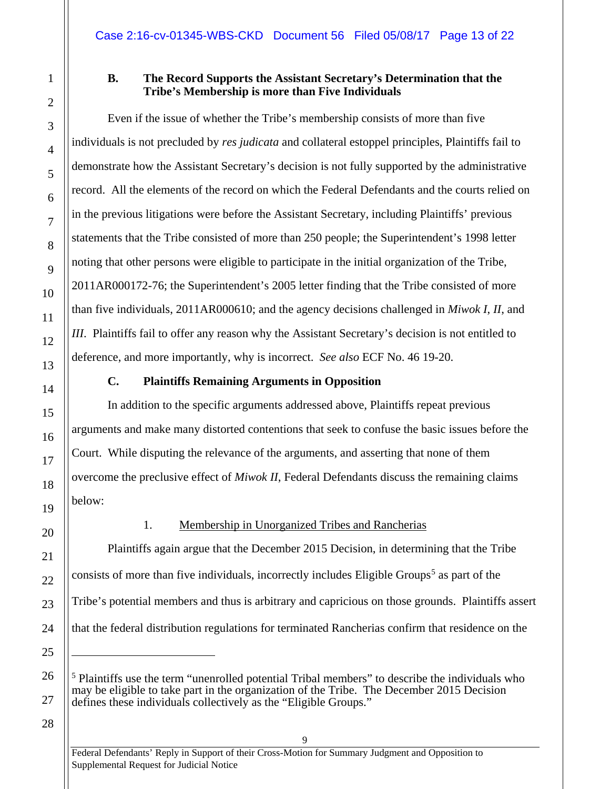# **B. The Record Supports the Assistant Secretary's Determination that the Tribe's Membership is more than Five Individuals**

Even if the issue of whether the Tribe's membership consists of more than five individuals is not precluded by *res judicata* and collateral estoppel principles, Plaintiffs fail to demonstrate how the Assistant Secretary's decision is not fully supported by the administrative record. All the elements of the record on which the Federal Defendants and the courts relied on in the previous litigations were before the Assistant Secretary, including Plaintiffs' previous statements that the Tribe consisted of more than 250 people; the Superintendent's 1998 letter noting that other persons were eligible to participate in the initial organization of the Tribe, 2011AR000172-76; the Superintendent's 2005 letter finding that the Tribe consisted of more than five individuals, 2011AR000610; and the agency decisions challenged in *Miwok I*, *II*, and *III*. Plaintiffs fail to offer any reason why the Assistant Secretary's decision is not entitled to deference, and more importantly, why is incorrect. *See also* ECF No. 46 19-20.

# **C. Plaintiffs Remaining Arguments in Opposition**

<span id="page-12-1"></span>In addition to the specific arguments addressed above, Plaintiffs repeat previous arguments and make many distorted contentions that seek to confuse the basic issues before the Court. While disputing the relevance of the arguments, and asserting that none of them overcome the preclusive effect of *Miwok II*, Federal Defendants discuss the remaining claims below:

# <span id="page-12-2"></span>1. Membership in Unorganized Tribes and Rancherias

Plaintiffs again argue that the December 2015 Decision, in determining that the Tribe consists of more than five individuals, incorrectly includes Eligible Groups<sup>[5](#page-12-3)</sup> as part of the Tribe's potential members and thus is arbitrary and capricious on those grounds. Plaintiffs assert that the federal distribution regulations for terminated Rancherias confirm that residence on the

28

<span id="page-12-0"></span>1

2

3

4

5

6

7

8

9

10

11

12

13

14

15

16

17

18

19

20

21

22

23

24

25

 $\overline{a}$ 

<span id="page-12-3"></span>26

<sup>&</sup>lt;sup>5</sup> Plaintiffs use the term "unenrolled potential Tribal members" to describe the individuals who may be eligible to take part in the organization of the Tribe. The December 2015 Decision defines these individuals collectively as the "Eligible Groups."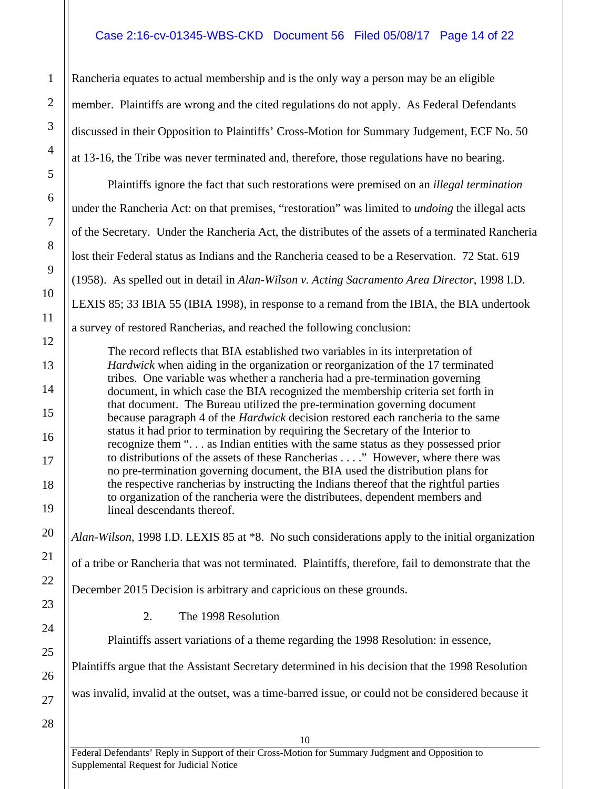# Case 2:16-cv-01345-WBS-CKD Document 56 Filed 05/08/17 Page 14 of 22

Rancheria equates to actual membership and is the only way a person may be an eligible member. Plaintiffs are wrong and the cited regulations do not apply. As Federal Defendants discussed in their Opposition to Plaintiffs' Cross-Motion for Summary Judgement, ECF No. 50 at 13-16, the Tribe was never terminated and, therefore, those regulations have no bearing.

Plaintiffs ignore the fact that such restorations were premised on an *illegal termination* under the Rancheria Act: on that premises, "restoration" was limited to *undoing* the illegal acts of the Secretary. Under the Rancheria Act, the distributes of the assets of a terminated Rancheria lost their Federal status as Indians and the Rancheria ceased to be a Reservation. 72 Stat. 619 (1958). As spelled out in detail in *Alan-Wilson v. Acting Sacramento Area Director*, 1998 I.D. LEXIS 85; 33 IBIA 55 (IBIA 1998), in response to a remand from the IBIA, the BIA undertook a survey of restored Rancherias, and reached the following conclusion:

The record reflects that BIA established two variables in its interpretation of *Hardwick* when aiding in the organization or reorganization of the 17 terminated tribes. One variable was whether a rancheria had a pre-termination governing document, in which case the BIA recognized the membership criteria set forth in that document. The Bureau utilized the pre-termination governing document because paragraph 4 of the *Hardwick* decision restored each rancheria to the same status it had prior to termination by requiring the Secretary of the Interior to recognize them ". . . as Indian entities with the same status as they possessed prior to distributions of the assets of these Rancherias . . . ." However, where there was no pre-termination governing document, the BIA used the distribution plans for the respective rancherias by instructing the Indians thereof that the rightful parties to organization of the rancheria were the distributees, dependent members and lineal descendants thereof.

*Alan-Wilson*, 1998 I.D. LEXIS 85 at \*8. No such considerations apply to the initial organization

of a tribe or Rancheria that was not terminated. Plaintiffs, therefore, fail to demonstrate that the

December 2015 Decision is arbitrary and capricious on these grounds.

# <span id="page-13-0"></span>2. The 1998 Resolution

Plaintiffs assert variations of a theme regarding the 1998 Resolution: in essence,

Plaintiffs argue that the Assistant Secretary determined in his decision that the 1998 Resolution

was invalid, invalid at the outset, was a time-barred issue, or could not be considered because it

10

28

1

2

3

4

5

6

7

8

9

10

11

12

13

14

15

16

17

18

19

20

21

22

23

24

25

26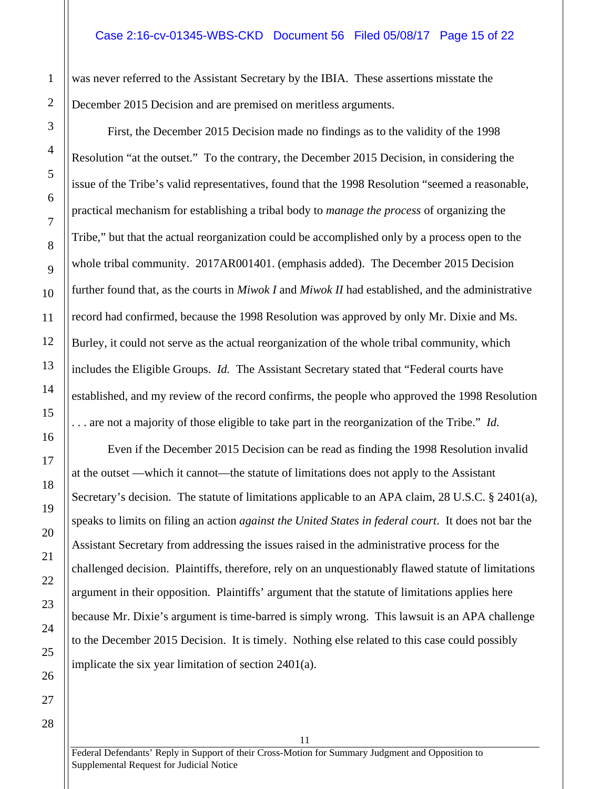was never referred to the Assistant Secretary by the IBIA. These assertions misstate the December 2015 Decision and are premised on meritless arguments.

First, the December 2015 Decision made no findings as to the validity of the 1998 Resolution "at the outset." To the contrary, the December 2015 Decision, in considering the issue of the Tribe's valid representatives, found that the 1998 Resolution "seemed a reasonable, practical mechanism for establishing a tribal body to *manage the process* of organizing the Tribe," but that the actual reorganization could be accomplished only by a process open to the whole tribal community. 2017AR001401. (emphasis added). The December 2015 Decision further found that, as the courts in *Miwok I* and *Miwok II* had established, and the administrative record had confirmed, because the 1998 Resolution was approved by only Mr. Dixie and Ms. Burley, it could not serve as the actual reorganization of the whole tribal community, which includes the Eligible Groups. *Id.* The Assistant Secretary stated that "Federal courts have established, and my review of the record confirms, the people who approved the 1998 Resolution . . . are not a majority of those eligible to take part in the reorganization of the Tribe." *Id.*

Even if the December 2015 Decision can be read as finding the 1998 Resolution invalid at the outset —which it cannot—the statute of limitations does not apply to the Assistant Secretary's decision. The statute of limitations applicable to an APA claim, 28 U.S.C. § 2401(a), speaks to limits on filing an action *against the United States in federal court*. It does not bar the Assistant Secretary from addressing the issues raised in the administrative process for the challenged decision. Plaintiffs, therefore, rely on an unquestionably flawed statute of limitations argument in their opposition. Plaintiffs' argument that the statute of limitations applies here because Mr. Dixie's argument is time-barred is simply wrong. This lawsuit is an APA challenge to the December 2015 Decision. It is timely. Nothing else related to this case could possibly implicate the six year limitation of section 2401(a).

1

2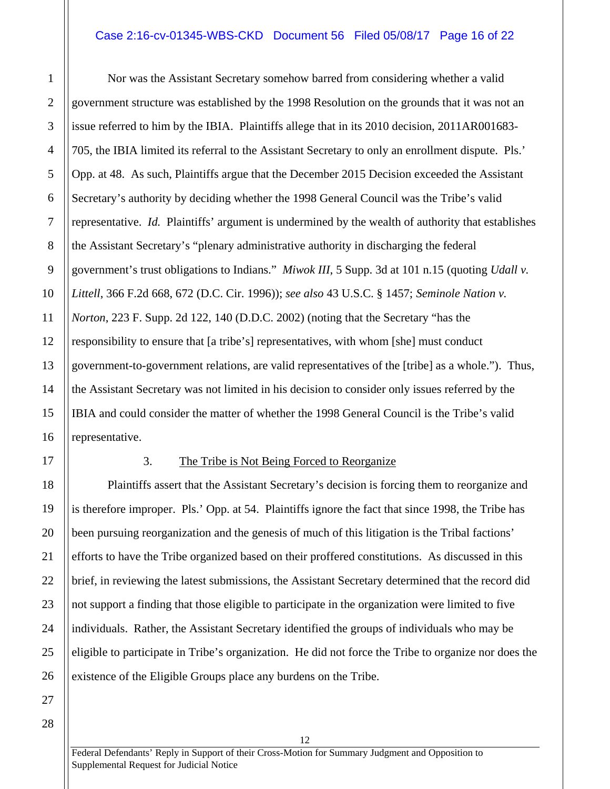#### Case 2:16-cv-01345-WBS-CKD Document 56 Filed 05/08/17 Page 16 of 22

Nor was the Assistant Secretary somehow barred from considering whether a valid government structure was established by the 1998 Resolution on the grounds that it was not an issue referred to him by the IBIA. Plaintiffs allege that in its 2010 decision, 2011AR001683- 705, the IBIA limited its referral to the Assistant Secretary to only an enrollment dispute. Pls.' Opp. at 48. As such, Plaintiffs argue that the December 2015 Decision exceeded the Assistant Secretary's authority by deciding whether the 1998 General Council was the Tribe's valid representative. *Id.* Plaintiffs' argument is undermined by the wealth of authority that establishes the Assistant Secretary's "plenary administrative authority in discharging the federal government's trust obligations to Indians." *Miwok III*, 5 Supp. 3d at 101 n.15 (quoting *Udall v. Littell*, 366 F.2d 668, 672 (D.C. Cir. 1996)); *see also* 43 U.S.C. § 1457; *Seminole Nation v. Norton*, 223 F. Supp. 2d 122, 140 (D.D.C. 2002) (noting that the Secretary "has the responsibility to ensure that [a tribe's] representatives, with whom [she] must conduct government-to-government relations, are valid representatives of the [tribe] as a whole."). Thus, the Assistant Secretary was not limited in his decision to consider only issues referred by the IBIA and could consider the matter of whether the 1998 General Council is the Tribe's valid representative.

<span id="page-15-0"></span>

1

2

3

4

5

6

7

8

9

10

11

12

13

14

15

16

17

18

19

20

21

22

23

24

25

26

27

#### 3. The Tribe is Not Being Forced to Reorganize

Plaintiffs assert that the Assistant Secretary's decision is forcing them to reorganize and is therefore improper. Pls.' Opp. at 54. Plaintiffs ignore the fact that since 1998, the Tribe has been pursuing reorganization and the genesis of much of this litigation is the Tribal factions' efforts to have the Tribe organized based on their proffered constitutions. As discussed in this brief, in reviewing the latest submissions, the Assistant Secretary determined that the record did not support a finding that those eligible to participate in the organization were limited to five individuals. Rather, the Assistant Secretary identified the groups of individuals who may be eligible to participate in Tribe's organization. He did not force the Tribe to organize nor does the existence of the Eligible Groups place any burdens on the Tribe.

28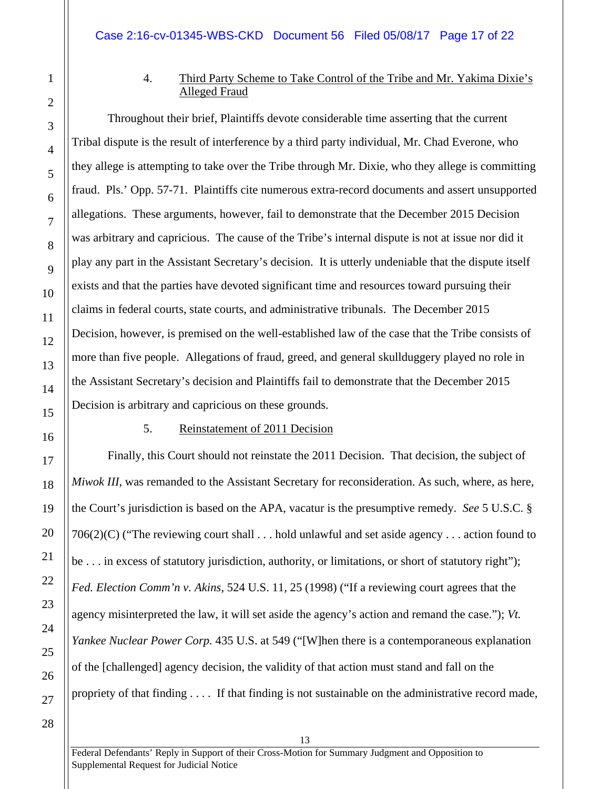<span id="page-16-0"></span>1

2

3

4

5

6

7

8

9

10

11

12

13

14

15

16

17

18

19

20

21

22

23

24

25

# 4. Third Party Scheme to Take Control of the Tribe and Mr. Yakima Dixie's Alleged Fraud

Throughout their brief, Plaintiffs devote considerable time asserting that the current Tribal dispute is the result of interference by a third party individual, Mr. Chad Everone, who they allege is attempting to take over the Tribe through Mr. Dixie, who they allege is committing fraud. Pls.' Opp. 57-71. Plaintiffs cite numerous extra-record documents and assert unsupported allegations. These arguments, however, fail to demonstrate that the December 2015 Decision was arbitrary and capricious. The cause of the Tribe's internal dispute is not at issue nor did it play any part in the Assistant Secretary's decision. It is utterly undeniable that the dispute itself exists and that the parties have devoted significant time and resources toward pursuing their claims in federal courts, state courts, and administrative tribunals. The December 2015 Decision, however, is premised on the well-established law of the case that the Tribe consists of more than five people. Allegations of fraud, greed, and general skullduggery played no role in the Assistant Secretary's decision and Plaintiffs fail to demonstrate that the December 2015 Decision is arbitrary and capricious on these grounds.

#### 5. Reinstatement of 2011 Decision

<span id="page-16-1"></span>Finally, this Court should not reinstate the 2011 Decision. That decision, the subject of *Miwok III*, was remanded to the Assistant Secretary for reconsideration. As such, where, as here, the Court's jurisdiction is based on the APA, vacatur is the presumptive remedy. *See* 5 U.S.C. § 706(2)(C) ("The reviewing court shall . . . hold unlawful and set aside agency . . . action found to be . . . in excess of statutory jurisdiction, authority, or limitations, or short of statutory right"); *Fed. Election Comm'n v. Akins*, 524 U.S. 11, 25 (1998) ("If a reviewing court agrees that the agency misinterpreted the law, it will set aside the agency's action and remand the case."); *Vt. Yankee Nuclear Power Corp.* 435 U.S. at 549 ("[W]hen there is a contemporaneous explanation of the [challenged] agency decision, the validity of that action must stand and fall on the propriety of that finding . . . . If that finding is not sustainable on the administrative record made,

26 27 28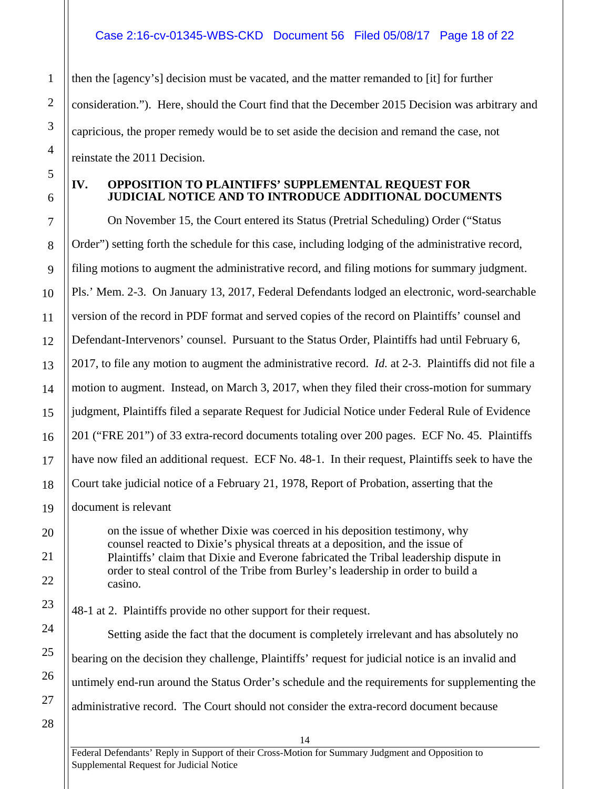then the [agency's] decision must be vacated, and the matter remanded to [it] for further consideration."). Here, should the Court find that the December 2015 Decision was arbitrary and capricious, the proper remedy would be to set aside the decision and remand the case, not reinstate the 2011 Decision.

# <span id="page-17-0"></span>**IV. OPPOSITION TO PLAINTIFFS' SUPPLEMENTAL REQUEST FOR JUDICIAL NOTICE AND TO INTRODUCE ADDITIONAL DOCUMENTS**

On November 15, the Court entered its Status (Pretrial Scheduling) Order ("Status Order") setting forth the schedule for this case, including lodging of the administrative record, filing motions to augment the administrative record, and filing motions for summary judgment. Pls.' Mem. 2-3. On January 13, 2017, Federal Defendants lodged an electronic, word-searchable version of the record in PDF format and served copies of the record on Plaintiffs' counsel and Defendant-Intervenors' counsel. Pursuant to the Status Order, Plaintiffs had until February 6, 2017, to file any motion to augment the administrative record. *Id.* at 2-3. Plaintiffs did not file a motion to augment. Instead, on March 3, 2017, when they filed their cross-motion for summary judgment, Plaintiffs filed a separate Request for Judicial Notice under Federal Rule of Evidence 201 ("FRE 201") of 33 extra-record documents totaling over 200 pages. ECF No. 45. Plaintiffs have now filed an additional request. ECF No. 48-1. In their request, Plaintiffs seek to have the Court take judicial notice of a February 21, 1978, Report of Probation, asserting that the document is relevant

on the issue of whether Dixie was coerced in his deposition testimony, why counsel reacted to Dixie's physical threats at a deposition, and the issue of Plaintiffs' claim that Dixie and Everone fabricated the Tribal leadership dispute in order to steal control of the Tribe from Burley's leadership in order to build a casino.

48-1 at 2. Plaintiffs provide no other support for their request.

Setting aside the fact that the document is completely irrelevant and has absolutely no bearing on the decision they challenge, Plaintiffs' request for judicial notice is an invalid and untimely end-run around the Status Order's schedule and the requirements for supplementing the administrative record. The Court should not consider the extra-record document because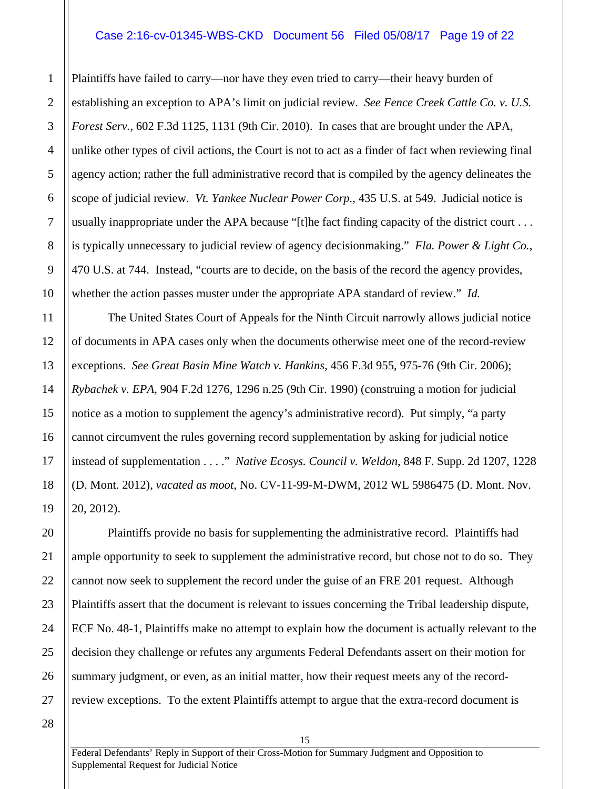#### Case 2:16-cv-01345-WBS-CKD Document 56 Filed 05/08/17 Page 19 of 22

Plaintiffs have failed to carry—nor have they even tried to carry—their heavy burden of establishing an exception to APA's limit on judicial review. *See Fence Creek Cattle Co. v. U.S. Forest Serv.*, 602 F.3d 1125, 1131 (9th Cir. 2010). In cases that are brought under the APA, unlike other types of civil actions, the Court is not to act as a finder of fact when reviewing final agency action; rather the full administrative record that is compiled by the agency delineates the scope of judicial review. *Vt. Yankee Nuclear Power Corp.*, 435 U.S. at 549. Judicial notice is usually inappropriate under the APA because "[t]he fact finding capacity of the district court . . . is typically unnecessary to judicial review of agency decisionmaking." *Fla. Power & Light Co.*, 470 U.S. at 744. Instead, "courts are to decide, on the basis of the record the agency provides, whether the action passes muster under the appropriate APA standard of review." *Id.*

The United States Court of Appeals for the Ninth Circuit narrowly allows judicial notice of documents in APA cases only when the documents otherwise meet one of the record-review exceptions. *See Great Basin Mine Watch v. Hankins*, 456 F.3d 955, 975-76 (9th Cir. 2006); *Rybachek v. EPA*, 904 F.2d 1276, 1296 n.25 (9th Cir. 1990) (construing a motion for judicial notice as a motion to supplement the agency's administrative record). Put simply, "a party cannot circumvent the rules governing record supplementation by asking for judicial notice instead of supplementation . . . ." *Native Ecosys. Council v. Weldon*, 848 F. Supp. 2d 1207, 1228 (D. Mont. 2012), *vacated as moot*, No. CV-11-99-M-DWM, 2012 WL 5986475 (D. Mont. Nov. 20, 2012).

Plaintiffs provide no basis for supplementing the administrative record. Plaintiffs had ample opportunity to seek to supplement the administrative record, but chose not to do so. They cannot now seek to supplement the record under the guise of an FRE 201 request. Although Plaintiffs assert that the document is relevant to issues concerning the Tribal leadership dispute, ECF No. 48-1, Plaintiffs make no attempt to explain how the document is actually relevant to the decision they challenge or refutes any arguments Federal Defendants assert on their motion for summary judgment, or even, as an initial matter, how their request meets any of the recordreview exceptions. To the extent Plaintiffs attempt to argue that the extra-record document is

26 27 28

1

2

3

4

5

6

7

8

9

10

11

12

13

14

15

16

17

18

19

20

21

22

23

24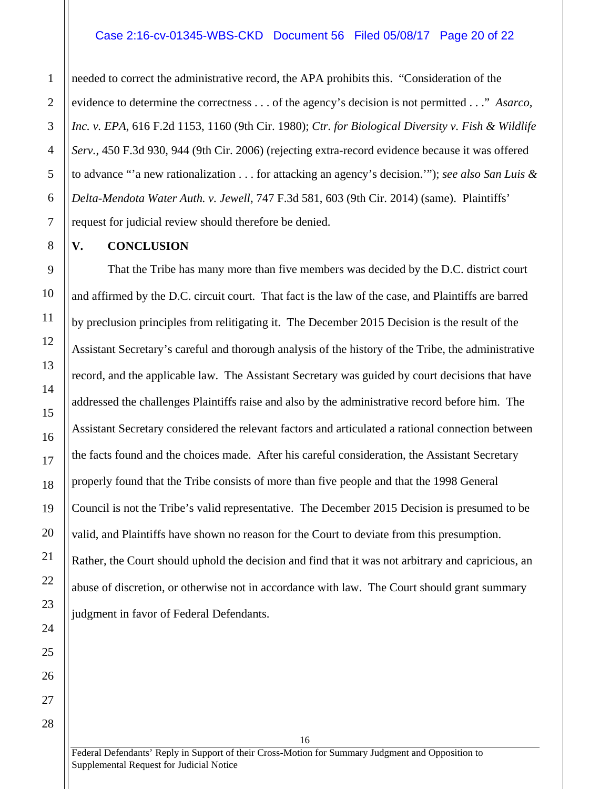#### Case 2:16-cv-01345-WBS-CKD Document 56 Filed 05/08/17 Page 20 of 22

needed to correct the administrative record, the APA prohibits this. "Consideration of the evidence to determine the correctness . . . of the agency's decision is not permitted . . ." *Asarco, Inc. v. EPA*, 616 F.2d 1153, 1160 (9th Cir. 1980); *Ctr. for Biological Diversity v. Fish & Wildlife Serv.*, 450 F.3d 930, 944 (9th Cir. 2006) (rejecting extra-record evidence because it was offered to advance "'a new rationalization . . . for attacking an agency's decision.'"); *see also San Luis & Delta-Mendota Water Auth. v. Jewell*, 747 F.3d 581, 603 (9th Cir. 2014) (same). Plaintiffs' request for judicial review should therefore be denied.

## <span id="page-19-0"></span>**V. CONCLUSION**

That the Tribe has many more than five members was decided by the D.C. district court and affirmed by the D.C. circuit court. That fact is the law of the case, and Plaintiffs are barred by preclusion principles from relitigating it. The December 2015 Decision is the result of the Assistant Secretary's careful and thorough analysis of the history of the Tribe, the administrative record, and the applicable law. The Assistant Secretary was guided by court decisions that have addressed the challenges Plaintiffs raise and also by the administrative record before him. The Assistant Secretary considered the relevant factors and articulated a rational connection between the facts found and the choices made. After his careful consideration, the Assistant Secretary properly found that the Tribe consists of more than five people and that the 1998 General Council is not the Tribe's valid representative. The December 2015 Decision is presumed to be valid, and Plaintiffs have shown no reason for the Court to deviate from this presumption. Rather, the Court should uphold the decision and find that it was not arbitrary and capricious, an abuse of discretion, or otherwise not in accordance with law. The Court should grant summary judgment in favor of Federal Defendants.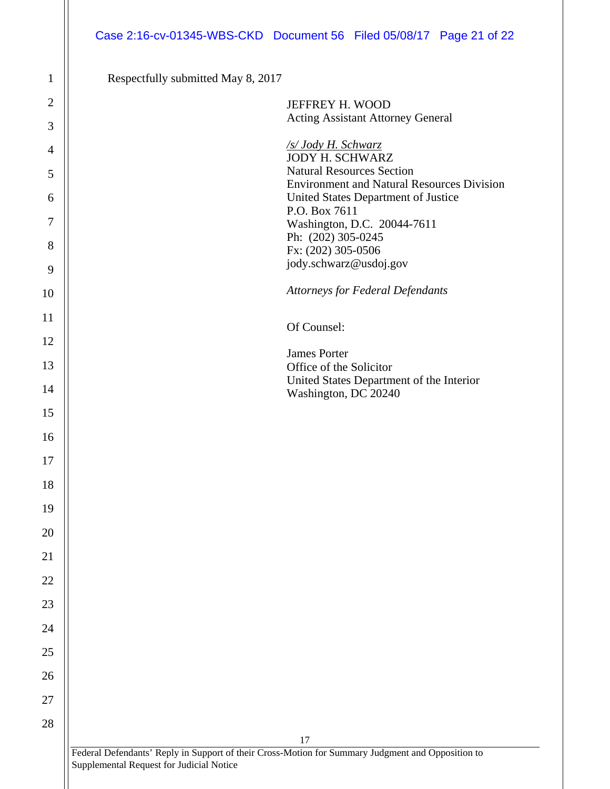# Case 2:16-cv-01345-WBS-CKD Document 56 Filed 05/08/17 Page 21 of 22

Respectfully submitted May 8, 2017

| JEFFREY H. WOOD                                                                                   |
|---------------------------------------------------------------------------------------------------|
| <b>Acting Assistant Attorney General</b>                                                          |
| /s/ Jody H. Schwarz<br><b>JODY H. SCHWARZ</b>                                                     |
| <b>Natural Resources Section</b>                                                                  |
| <b>Environment and Natural Resources Division</b>                                                 |
| United States Department of Justice                                                               |
| P.O. Box 7611                                                                                     |
| Washington, D.C. 20044-7611<br>Ph: (202) 305-0245                                                 |
| Fx: (202) 305-0506                                                                                |
| jody.schwarz@usdoj.gov                                                                            |
| <b>Attorneys for Federal Defendants</b>                                                           |
|                                                                                                   |
| Of Counsel:                                                                                       |
| <b>James Porter</b>                                                                               |
| Office of the Solicitor                                                                           |
| United States Department of the Interior                                                          |
| Washington, DC 20240                                                                              |
|                                                                                                   |
|                                                                                                   |
|                                                                                                   |
|                                                                                                   |
|                                                                                                   |
|                                                                                                   |
|                                                                                                   |
|                                                                                                   |
|                                                                                                   |
|                                                                                                   |
|                                                                                                   |
|                                                                                                   |
|                                                                                                   |
|                                                                                                   |
|                                                                                                   |
|                                                                                                   |
|                                                                                                   |
| 17                                                                                                |
| Federal Defendants' Reply in Support of their Cross-Motion for Summary Judgment and Opposition to |

II